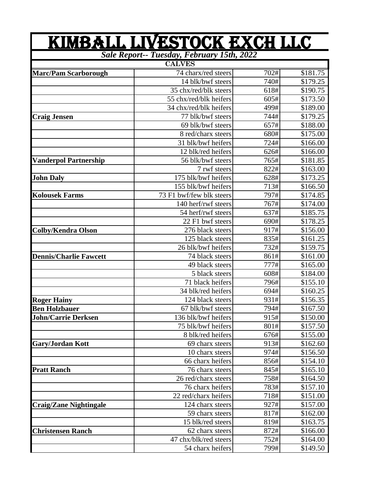| KIMBALL LIVESTOCK EXCH LLC                 |                          |      |          |  |
|--------------------------------------------|--------------------------|------|----------|--|
| Sale Report-- Tuesday, February 15th, 2022 |                          |      |          |  |
|                                            | <b>CALVES</b>            |      |          |  |
| <b>Marc/Pam Scarborough</b>                | 74 charx/red steers      | 702# | \$181.75 |  |
|                                            | 14 blk/bwf steers        | 740# | \$179.25 |  |
|                                            | 35 chx/red/blk steers    | 618# | \$190.75 |  |
|                                            | 55 chx/red/blk heifers   | 605# | \$173.50 |  |
|                                            | 34 chx/red/blk heifers   | 499# | \$189.00 |  |
| <b>Craig Jensen</b>                        | 77 blk/bwf steers        | 744# | \$179.25 |  |
|                                            | 69 blk/bwf steers        | 657# | \$188.00 |  |
|                                            | 8 red/charx steers       | 680# | \$175.00 |  |
|                                            | 31 blk/bwf heifers       | 724# | \$166.00 |  |
|                                            | 12 blk/red heifers       | 626# | \$166.00 |  |
| <b>Vanderpol Partnership</b>               | 56 blk/bwf steers        | 765# | \$181.85 |  |
|                                            | 7 rwf steers             | 822# | \$163.00 |  |
| <b>John Daly</b>                           | 175 blk/bwf heifers      | 628# | \$173.25 |  |
|                                            | 155 blk/bwf heifers      | 713# | \$166.50 |  |
| <b>Kolousek Farms</b>                      | 73 F1 bwf/few blk steers | 797# | \$174.85 |  |
|                                            | 140 herf/rwf steers      | 767# | \$174.00 |  |
|                                            | 54 herf/rwf steers       | 637# | \$185.75 |  |
|                                            | 22 F1 bwf steers         | 690# | \$178.25 |  |
| <b>Colby/Kendra Olson</b>                  | 276 black steers         | 917# | \$156.00 |  |
|                                            | 125 black steers         | 835# | \$161.25 |  |
|                                            | 26 blk/bwf heifers       | 732# | \$159.75 |  |
| <b>Dennis/Charlie Fawcett</b>              | 74 black steers          | 861# | \$161.00 |  |
|                                            | 49 black steers          | 777# | \$165.00 |  |
|                                            | 5 black steers           | 608# | \$184.00 |  |
|                                            | 71 black heifers         | 796# | \$155.10 |  |
|                                            | 34 blk/red heifers       | 694# | \$160.25 |  |
| <b>Roger Hainy</b>                         | 124 black steers         | 931# | \$156.35 |  |
| <b>Ben Holzbauer</b>                       | 67 blk/bwf steers        | 794# | \$167.50 |  |
| <b>John/Carrie Derksen</b>                 | 136 blk/bwf heifers      | 915# | \$150.00 |  |
|                                            | 75 blk/bwf heifers       | 801# | \$157.50 |  |
|                                            | 8 blk/red heifers        | 676# | \$155.00 |  |
| <b>Gary/Jordan Kott</b>                    | 69 charx steers          | 913# | \$162.60 |  |
|                                            | 10 charx steers          | 974# | \$156.50 |  |
|                                            | 66 charx heifers         | 856# | \$154.10 |  |
| <b>Pratt Ranch</b>                         | 76 charx steers          | 845# | \$165.10 |  |
|                                            | 26 red/charx steers      | 758# | \$164.50 |  |
|                                            | 76 charx heifers         | 783# | \$157.10 |  |
|                                            | 22 red/charx heifers     | 718# | \$151.00 |  |
| <b>Craig/Zane Nightingale</b>              | 124 charx steers         | 927# | \$157.00 |  |
|                                            | 59 charx steers          | 817# | \$162.00 |  |
|                                            | 15 blk/red steers        | 819# | \$163.75 |  |
| <b>Christensen Ranch</b>                   | 62 charx steers          | 872# | \$166.00 |  |
|                                            | 47 chx/blk/red steers    | 752# | \$164.00 |  |
|                                            | 54 charx heifers         | 799# | \$149.50 |  |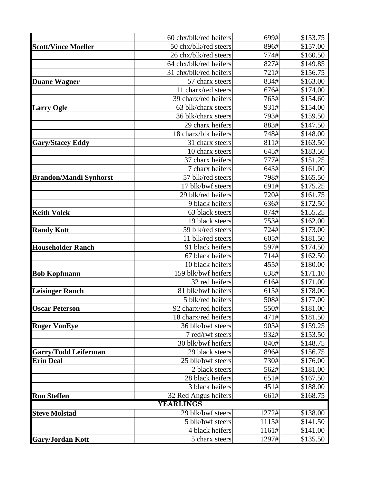|                               | 60 chx/blk/red heifers | 699#  | \$153.75 |
|-------------------------------|------------------------|-------|----------|
| <b>Scott/Vince Moeller</b>    | 50 chx/blk/red steers  | 896#  | \$157.00 |
|                               | 26 chx/blk/red steers  | 774#  | \$160.50 |
|                               | 64 chx/blk/red heifers | 827#  | \$149.85 |
|                               | 31 chx/blk/red heifers | 721#  | \$156.75 |
| <b>Duane Wagner</b>           | 57 charx steers        | 834#  | \$163.00 |
|                               | 11 charx/red steers    | 676#  | \$174.00 |
|                               | 39 charx/red heifers   | 765#  | \$154.60 |
| <b>Larry Ogle</b>             | 63 blk/charx steers    | 931#  | \$154.00 |
|                               | 36 blk/charx steers    | 793#  | \$159.50 |
|                               | 29 charx heifers       | 883#  | \$147.50 |
|                               | 18 charx/blk heifers   | 748#  | \$148.00 |
| <b>Gary/Stacey Eddy</b>       | 31 charx steers        | 811#  | \$163.50 |
|                               | 10 charx steers        | 645#  | \$183.50 |
|                               | 37 charx heifers       | 777#  | \$151.25 |
|                               | 7 charx heifers        | 643#  | \$161.00 |
| <b>Brandon/Mandi Synhorst</b> | 57 blk/red steers      | 798#  | \$165.50 |
|                               | 17 blk/bwf steers      | 691#  | \$175.25 |
|                               | 29 blk/red heifers     | 720#  | \$161.75 |
|                               | 9 black heifers        | 636#  | \$172.50 |
| <b>Keith Volek</b>            | 63 black steers        | 874#  | \$155.25 |
|                               | 19 black steers        | 753#  | \$162.00 |
| <b>Randy Kott</b>             | 59 blk/red steers      | 724#  | \$173.00 |
|                               | 11 blk/red steers      | 605#  | \$181.50 |
| <b>Householder Ranch</b>      | 91 black heifers       | 597#  | \$174.50 |
|                               | 67 black heifers       | 714#  | \$162.50 |
|                               | 10 black heifers       | 455#  | \$180.00 |
| <b>Bob Kopfmann</b>           | 159 blk/bwf heifers    | 638#  | \$171.10 |
|                               | 32 red heifers         | 616#  | \$171.00 |
| <b>Leisinger Ranch</b>        | 81 blk/bwf heifers     | 615#  | \$178.00 |
|                               | 5 blk/red heifers      | 508#  | \$177.00 |
| <b>Oscar Peterson</b>         | 92 charx/red heifers   | 550#  | \$181.00 |
|                               | 18 charx/red heifers   | 471#  | \$181.50 |
| <b>Roger VonEye</b>           | 36 blk/bwf steers      | 903#  | \$159.25 |
|                               | 7 red/rwf steers       | 932#  | \$153.50 |
|                               | 30 blk/bwf heifers     | 840#  | \$148.75 |
| <b>Garry/Todd Leiferman</b>   | 29 black steers        | 896#  | \$156.75 |
| <b>Erin Deal</b>              | 25 blk/bwf steers      | 730#  | \$176.00 |
|                               | 2 black steers         | 562#  | \$181.00 |
|                               | 28 black heifers       | 651#  | \$167.50 |
|                               | 3 black heifers        | 451#  | \$188.00 |
| <b>Ron Steffen</b>            | 32 Red Angus heifers   | 661#  | \$168.75 |
|                               | YEARLINGS              |       |          |
| <b>Steve Molstad</b>          | 29 blk/bwf steers      | 1272# | \$138.00 |
|                               | 5 blk/bwf steers       | 1115# | \$141.50 |
|                               | 4 black heifers        | 1161# | \$141.00 |
| <b>Gary/Jordan Kott</b>       | 5 charx steers         | 1297# | \$135.50 |